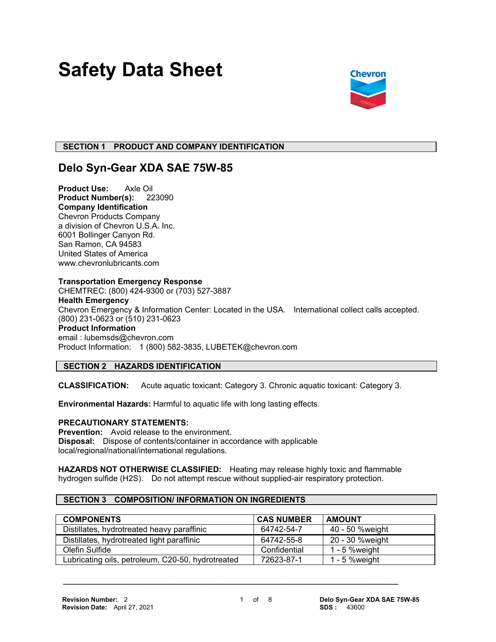# **Safety Data Sheet**



# **SECTION 1 PRODUCT AND COMPANY IDENTIFICATION**

# **Delo Syn-Gear XDA SAE 75W-85**

**Product Use:** Axle Oil **Product Number(s):** 223090 **Company Identification** Chevron Products Company a division of Chevron U.S.A. Inc. 6001 Bollinger Canyon Rd. San Ramon, CA 94583 United States of America www.chevronlubricants.com

#### **Transportation Emergency Response**

CHEMTREC: (800) 424-9300 or (703) 527-3887 **Health Emergency** Chevron Emergency & Information Center: Located in the USA. International collect calls accepted. (800) 231-0623 or (510) 231-0623 **Product Information** email : lubemsds@chevron.com Product Information: 1 (800) 582-3835, LUBETEK@chevron.com

# **SECTION 2 HAZARDS IDENTIFICATION**

**CLASSIFICATION:** Acute aquatic toxicant: Category 3. Chronic aquatic toxicant: Category 3.

**Environmental Hazards:** Harmful to aquatic life with long lasting effects.

# **PRECAUTIONARY STATEMENTS:**

**Prevention:** Avoid release to the environment. **Disposal:** Dispose of contents/container in accordance with applicable local/regional/national/international regulations.

**HAZARDS NOT OTHERWISE CLASSIFIED:** Heating may release highly toxic and flammable hydrogen sulfide (H2S). Do not attempt rescue without supplied-air respiratory protection.

 **\_\_\_\_\_\_\_\_\_\_\_\_\_\_\_\_\_\_\_\_\_\_\_\_\_\_\_\_\_\_\_\_\_\_\_\_\_\_\_\_\_\_\_\_\_\_\_\_\_\_\_\_\_\_\_\_\_\_\_\_\_\_\_\_\_\_\_\_\_**

# **SECTION 3 COMPOSITION/ INFORMATION ON INGREDIENTS**

| <b>COMPONENTS</b>                                 | <b>CAS NUMBER</b> | <b>AMOUNT</b>    |
|---------------------------------------------------|-------------------|------------------|
| Distillates, hydrotreated heavy paraffinic        | 64742-54-7        | 40 - 50 %weight  |
| Distillates, hydrotreated light paraffinic        | 64742-55-8        | 20 - 30 %weight  |
| Olefin Sulfide                                    | Confidential      | $1 - 5$ % weight |
| Lubricating oils, petroleum, C20-50, hydrotreated | 72623-87-1        | 1 - 5 % weight   |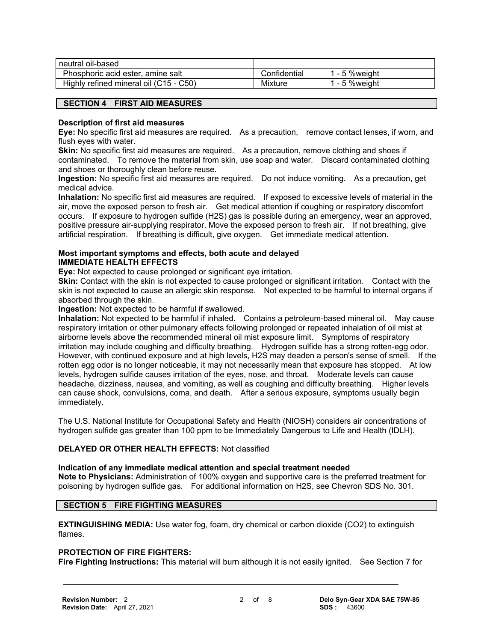| neutral oil-based                      |              |                |
|----------------------------------------|--------------|----------------|
| Phosphoric acid ester, amine salt      | Confidential | 1 - 5 % weight |
| Highly refined mineral oil (C15 - C50) | Mixture      | 1 - 5 % weight |

# **SECTION 4 FIRST AID MEASURES**

#### **Description of first aid measures**

**Eye:** No specific first aid measures are required. As a precaution, remove contact lenses, if worn, and flush eyes with water.

**Skin:** No specific first aid measures are required. As a precaution, remove clothing and shoes if contaminated. To remove the material from skin, use soap and water. Discard contaminated clothing and shoes or thoroughly clean before reuse.

**Ingestion:** No specific first aid measures are required. Do not induce vomiting. As a precaution, get medical advice.

**Inhalation:** No specific first aid measures are required. If exposed to excessive levels of material in the air, move the exposed person to fresh air. Get medical attention if coughing or respiratory discomfort occurs. If exposure to hydrogen sulfide (H2S) gas is possible during an emergency, wear an approved, positive pressure air-supplying respirator. Move the exposed person to fresh air. If not breathing, give artificial respiration. If breathing is difficult, give oxygen. Get immediate medical attention.

#### **Most important symptoms and effects, both acute and delayed IMMEDIATE HEALTH EFFECTS**

**Eye:** Not expected to cause prolonged or significant eye irritation.

**Skin:** Contact with the skin is not expected to cause prolonged or significant irritation. Contact with the skin is not expected to cause an allergic skin response. Not expected to be harmful to internal organs if absorbed through the skin.

**Ingestion:** Not expected to be harmful if swallowed.

**Inhalation:** Not expected to be harmful if inhaled. Contains a petroleum-based mineral oil. May cause respiratory irritation or other pulmonary effects following prolonged or repeated inhalation of oil mist at airborne levels above the recommended mineral oil mist exposure limit. Symptoms of respiratory irritation may include coughing and difficulty breathing. Hydrogen sulfide has a strong rotten-egg odor. However, with continued exposure and at high levels, H2S may deaden a person's sense of smell. If the rotten egg odor is no longer noticeable, it may not necessarily mean that exposure has stopped. At low levels, hydrogen sulfide causes irritation of the eyes, nose, and throat. Moderate levels can cause headache, dizziness, nausea, and vomiting, as well as coughing and difficulty breathing. Higher levels can cause shock, convulsions, coma, and death. After a serious exposure, symptoms usually begin immediately.

The U.S. National Institute for Occupational Safety and Health (NIOSH) considers air concentrations of hydrogen sulfide gas greater than 100 ppm to be Immediately Dangerous to Life and Health (IDLH).

# **DELAYED OR OTHER HEALTH EFFECTS:** Not classified

**Indication of any immediate medical attention and special treatment needed Note to Physicians:** Administration of 100% oxygen and supportive care is the preferred treatment for poisoning by hydrogen sulfide gas. For additional information on H2S, see Chevron SDS No. 301.

# **SECTION 5 FIRE FIGHTING MEASURES**

**EXTINGUISHING MEDIA:** Use water fog, foam, dry chemical or carbon dioxide (CO2) to extinguish flames.

#### **PROTECTION OF FIRE FIGHTERS:**

**Fire Fighting Instructions:** This material will burn although it is not easily ignited. See Section 7 for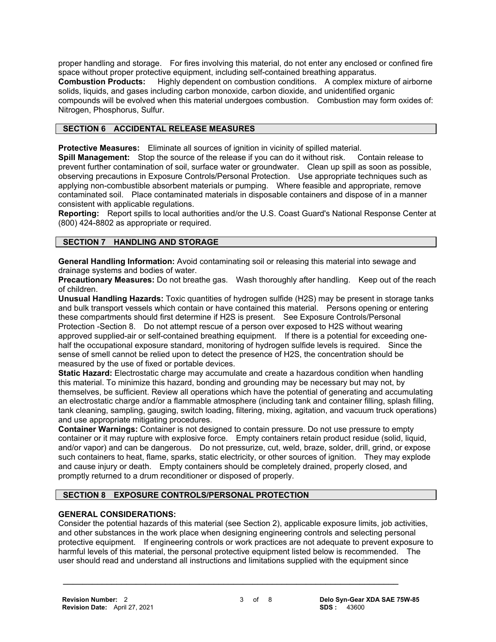proper handling and storage. For fires involving this material, do not enter any enclosed or confined fire space without proper protective equipment, including self-contained breathing apparatus.

**Combustion Products:** Highly dependent on combustion conditions. A complex mixture of airborne solids, liquids, and gases including carbon monoxide, carbon dioxide, and unidentified organic

compounds will be evolved when this material undergoes combustion. Combustion may form oxides of: Nitrogen, Phosphorus, Sulfur.

# **SECTION 6 ACCIDENTAL RELEASE MEASURES**

**Protective Measures:** Eliminate all sources of ignition in vicinity of spilled material.

**Spill Management:** Stop the source of the release if you can do it without risk. Contain release to prevent further contamination of soil, surface water or groundwater. Clean up spill as soon as possible, observing precautions in Exposure Controls/Personal Protection. Use appropriate techniques such as applying non-combustible absorbent materials or pumping. Where feasible and appropriate, remove contaminated soil. Place contaminated materials in disposable containers and dispose of in a manner consistent with applicable regulations.

**Reporting:** Report spills to local authorities and/or the U.S. Coast Guard's National Response Center at (800) 424-8802 as appropriate or required.

# **SECTION 7 HANDLING AND STORAGE**

**General Handling Information:** Avoid contaminating soil or releasing this material into sewage and drainage systems and bodies of water.

**Precautionary Measures:** Do not breathe gas. Wash thoroughly after handling. Keep out of the reach of children.

**Unusual Handling Hazards:** Toxic quantities of hydrogen sulfide (H2S) may be present in storage tanks and bulk transport vessels which contain or have contained this material. Persons opening or entering these compartments should first determine if H2S is present. See Exposure Controls/Personal Protection -Section 8. Do not attempt rescue of a person over exposed to H2S without wearing approved supplied-air or self-contained breathing equipment. If there is a potential for exceeding onehalf the occupational exposure standard, monitoring of hydrogen sulfide levels is required. Since the sense of smell cannot be relied upon to detect the presence of H2S, the concentration should be measured by the use of fixed or portable devices.

**Static Hazard:** Electrostatic charge may accumulate and create a hazardous condition when handling this material. To minimize this hazard, bonding and grounding may be necessary but may not, by themselves, be sufficient. Review all operations which have the potential of generating and accumulating an electrostatic charge and/or a flammable atmosphere (including tank and container filling, splash filling, tank cleaning, sampling, gauging, switch loading, filtering, mixing, agitation, and vacuum truck operations) and use appropriate mitigating procedures.

**Container Warnings:** Container is not designed to contain pressure. Do not use pressure to empty container or it may rupture with explosive force. Empty containers retain product residue (solid, liquid, and/or vapor) and can be dangerous. Do not pressurize, cut, weld, braze, solder, drill, grind, or expose such containers to heat, flame, sparks, static electricity, or other sources of ignition. They may explode and cause injury or death. Empty containers should be completely drained, properly closed, and promptly returned to a drum reconditioner or disposed of properly.

# **SECTION 8 EXPOSURE CONTROLS/PERSONAL PROTECTION**

# **GENERAL CONSIDERATIONS:**

Consider the potential hazards of this material (see Section 2), applicable exposure limits, job activities, and other substances in the work place when designing engineering controls and selecting personal protective equipment. If engineering controls or work practices are not adequate to prevent exposure to harmful levels of this material, the personal protective equipment listed below is recommended. The user should read and understand all instructions and limitations supplied with the equipment since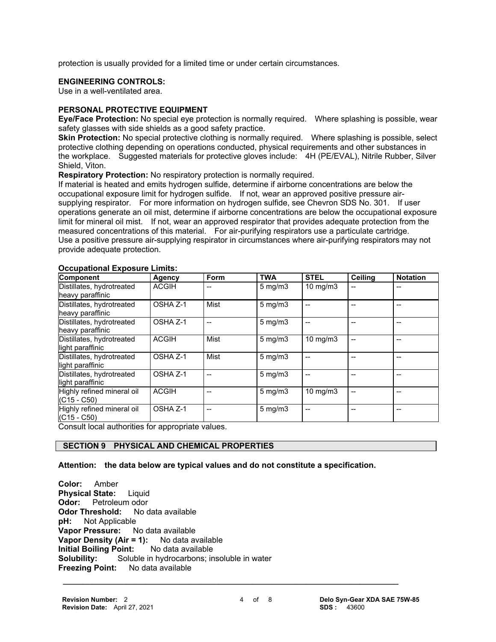protection is usually provided for a limited time or under certain circumstances.

#### **ENGINEERING CONTROLS:**

Use in a well-ventilated area.

#### **PERSONAL PROTECTIVE EQUIPMENT**

**Eye/Face Protection:** No special eye protection is normally required. Where splashing is possible, wear safety glasses with side shields as a good safety practice.

**Skin Protection:** No special protective clothing is normally required. Where splashing is possible, select protective clothing depending on operations conducted, physical requirements and other substances in the workplace. Suggested materials for protective gloves include: 4H (PE/EVAL), Nitrile Rubber, Silver Shield, Viton.

**Respiratory Protection:** No respiratory protection is normally required.

If material is heated and emits hydrogen sulfide, determine if airborne concentrations are below the occupational exposure limit for hydrogen sulfide. If not, wear an approved positive pressure airsupplying respirator. For more information on hydrogen sulfide, see Chevron SDS No. 301. If user operations generate an oil mist, determine if airborne concentrations are below the occupational exposure limit for mineral oil mist. If not, wear an approved respirator that provides adequate protection from the measured concentrations of this material. For air-purifying respirators use a particulate cartridge. Use a positive pressure air-supplying respirator in circumstances where air-purifying respirators may not provide adequate protection.

| Component                                     | Agency       | Form | <b>TWA</b>       | <b>STEL</b>       | Ceiling | <b>Notation</b> |
|-----------------------------------------------|--------------|------|------------------|-------------------|---------|-----------------|
| Distillates, hydrotreated<br>heavy paraffinic | <b>ACGIH</b> |      | $5 \text{ mg/m}$ | 10 mg/m $3$       |         |                 |
| Distillates, hydrotreated<br>heavy paraffinic | OSHA Z-1     | Mist | $5$ mg/m $3$     |                   |         |                 |
| Distillates, hydrotreated<br>heavy paraffinic | OSHA Z-1     | --   | $5 \text{ mg/m}$ |                   |         |                 |
| Distillates, hydrotreated<br>light paraffinic | <b>ACGIH</b> | Mist | $5$ mg/m $3$     | $10 \text{ mg/m}$ |         |                 |
| Distillates, hydrotreated<br>light paraffinic | OSHA Z-1     | Mist | $5 \text{ mg/m}$ |                   |         |                 |
| Distillates, hydrotreated<br>light paraffinic | OSHA Z-1     |      | $5 \text{ mg/m}$ |                   |         |                 |
| Highly refined mineral oil<br>$(C15 - C50)$   | <b>ACGIH</b> |      | $5 \text{ mg/m}$ | 10 mg/m $3$       |         |                 |
| Highly refined mineral oil<br>$(C15 - C50)$   | OSHA Z-1     |      | $5 \text{ mg/m}$ |                   |         |                 |

# **Occupational Exposure Limits:**

Consult local authorities for appropriate values.

# **SECTION 9 PHYSICAL AND CHEMICAL PROPERTIES**

**Attention: the data below are typical values and do not constitute a specification.**

**Color:** Amber **Physical State:** Liquid **Odor:** Petroleum odor **Odor Threshold:** No data available **pH:** Not Applicable **Vapor Pressure:** No data available **Vapor Density (Air = 1):** No data available<br>**Initial Boiling Point:** No data available **Initial Boiling Point: Solubility:** Soluble in hydrocarbons; insoluble in water **Freezing Point:** No data available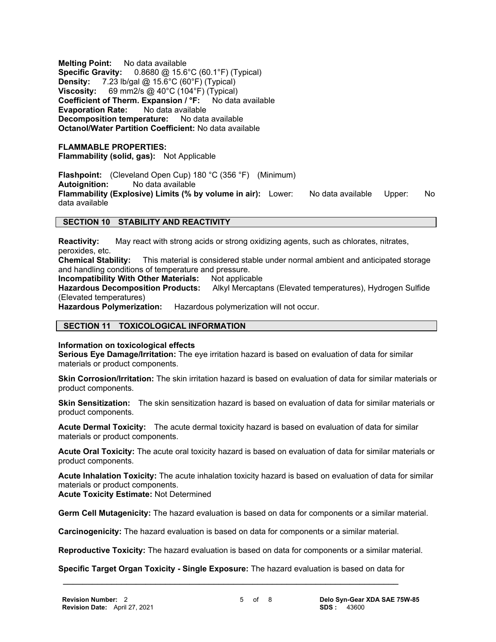**Melting Point:** No data available **Specific Gravity:** 0.8680 @ 15.6°C (60.1°F) (Typical) **Density:** 7.23 lb/gal @ 15.6°C (60°F) (Typical) **Viscosity:** 69 mm2/s @ 40°C (104°F) (Typical) **Coefficient of Therm. Expansion / °F:** No data available **Evaporation Rate:** No data available **Decomposition temperature:** No data available **Octanol/Water Partition Coefficient:** No data available

#### **FLAMMABLE PROPERTIES: Flammability (solid, gas):** Not Applicable

**Flashpoint:** (Cleveland Open Cup) 180 °C (356 °F) (Minimum) **Autoignition:** No data available **Flammability (Explosive) Limits (% by volume in air):** Lower: No data available Upper: No data available

# **SECTION 10 STABILITY AND REACTIVITY**

**Reactivity:** May react with strong acids or strong oxidizing agents, such as chlorates, nitrates, peroxides, etc.

**Chemical Stability:** This material is considered stable under normal ambient and anticipated storage and handling conditions of temperature and pressure.

**Incompatibility With Other Materials:** Not applicable

**Hazardous Decomposition Products:** Alkyl Mercaptans (Elevated temperatures), Hydrogen Sulfide (Elevated temperatures)

**Hazardous Polymerization:** Hazardous polymerization will not occur.

# **SECTION 11 TOXICOLOGICAL INFORMATION**

**Information on toxicological effects**

**Serious Eye Damage/Irritation:** The eye irritation hazard is based on evaluation of data for similar materials or product components.

**Skin Corrosion/Irritation:** The skin irritation hazard is based on evaluation of data for similar materials or product components.

**Skin Sensitization:** The skin sensitization hazard is based on evaluation of data for similar materials or product components.

**Acute Dermal Toxicity:** The acute dermal toxicity hazard is based on evaluation of data for similar materials or product components.

**Acute Oral Toxicity:** The acute oral toxicity hazard is based on evaluation of data for similar materials or product components.

**Acute Inhalation Toxicity:** The acute inhalation toxicity hazard is based on evaluation of data for similar materials or product components.

**Acute Toxicity Estimate:** Not Determined

**Germ Cell Mutagenicity:** The hazard evaluation is based on data for components or a similar material.

**Carcinogenicity:** The hazard evaluation is based on data for components or a similar material.

**Reproductive Toxicity:** The hazard evaluation is based on data for components or a similar material.

 **\_\_\_\_\_\_\_\_\_\_\_\_\_\_\_\_\_\_\_\_\_\_\_\_\_\_\_\_\_\_\_\_\_\_\_\_\_\_\_\_\_\_\_\_\_\_\_\_\_\_\_\_\_\_\_\_\_\_\_\_\_\_\_\_\_\_\_\_\_ Specific Target Organ Toxicity - Single Exposure:** The hazard evaluation is based on data for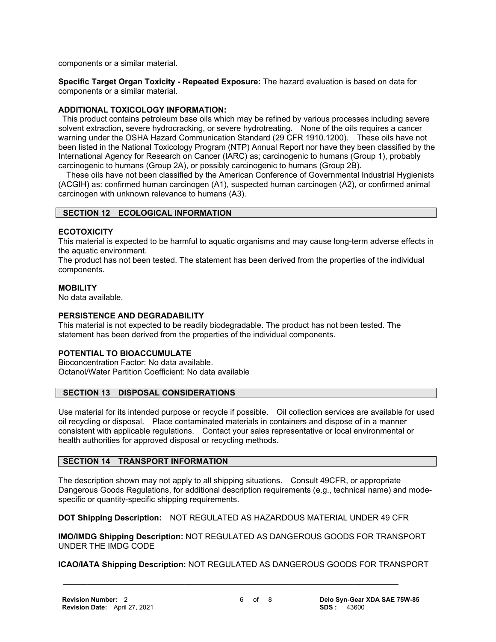components or a similar material.

**Specific Target Organ Toxicity - Repeated Exposure:** The hazard evaluation is based on data for components or a similar material.

# **ADDITIONAL TOXICOLOGY INFORMATION:**

 This product contains petroleum base oils which may be refined by various processes including severe solvent extraction, severe hydrocracking, or severe hydrotreating. None of the oils requires a cancer warning under the OSHA Hazard Communication Standard (29 CFR 1910.1200). These oils have not been listed in the National Toxicology Program (NTP) Annual Report nor have they been classified by the International Agency for Research on Cancer (IARC) as; carcinogenic to humans (Group 1), probably carcinogenic to humans (Group 2A), or possibly carcinogenic to humans (Group 2B).

 These oils have not been classified by the American Conference of Governmental Industrial Hygienists (ACGIH) as: confirmed human carcinogen (A1), suspected human carcinogen (A2), or confirmed animal carcinogen with unknown relevance to humans (A3).

# **SECTION 12 ECOLOGICAL INFORMATION**

# **ECOTOXICITY**

This material is expected to be harmful to aquatic organisms and may cause long-term adverse effects in the aquatic environment.

The product has not been tested. The statement has been derived from the properties of the individual components.

# **MOBILITY**

No data available.

# **PERSISTENCE AND DEGRADABILITY**

This material is not expected to be readily biodegradable. The product has not been tested. The statement has been derived from the properties of the individual components.

# **POTENTIAL TO BIOACCUMULATE**

Bioconcentration Factor: No data available. Octanol/Water Partition Coefficient: No data available

# **SECTION 13 DISPOSAL CONSIDERATIONS**

Use material for its intended purpose or recycle if possible. Oil collection services are available for used oil recycling or disposal. Place contaminated materials in containers and dispose of in a manner consistent with applicable regulations. Contact your sales representative or local environmental or health authorities for approved disposal or recycling methods.

# **SECTION 14 TRANSPORT INFORMATION**

The description shown may not apply to all shipping situations. Consult 49CFR, or appropriate Dangerous Goods Regulations, for additional description requirements (e.g., technical name) and modespecific or quantity-specific shipping requirements.

**DOT Shipping Description:** NOT REGULATED AS HAZARDOUS MATERIAL UNDER 49 CFR

 **\_\_\_\_\_\_\_\_\_\_\_\_\_\_\_\_\_\_\_\_\_\_\_\_\_\_\_\_\_\_\_\_\_\_\_\_\_\_\_\_\_\_\_\_\_\_\_\_\_\_\_\_\_\_\_\_\_\_\_\_\_\_\_\_\_\_\_\_\_**

**IMO/IMDG Shipping Description:** NOT REGULATED AS DANGEROUS GOODS FOR TRANSPORT UNDER THE IMDG CODE

**ICAO/IATA Shipping Description:** NOT REGULATED AS DANGEROUS GOODS FOR TRANSPORT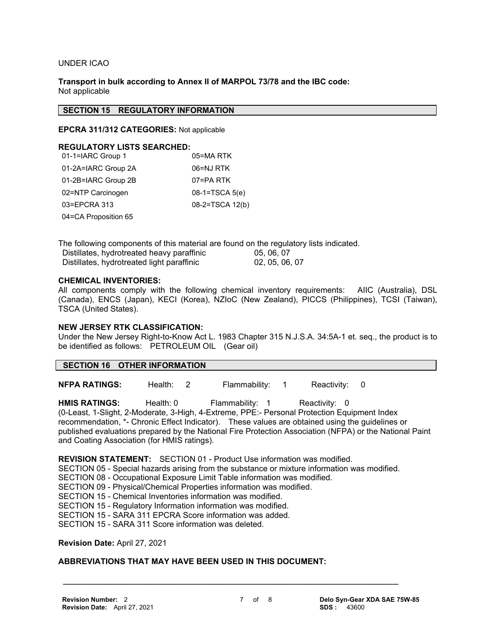#### UNDER ICAO

**Transport in bulk according to Annex II of MARPOL 73/78 and the IBC code:** Not applicable

#### **SECTION 15 REGULATORY INFORMATION**

**EPCRA 311/312 CATEGORIES:** Not applicable

#### **REGULATORY LISTS SEARCHED:**

| 01-1=IARC Group 1    | 05=MA RTK        |
|----------------------|------------------|
| 01-2A=IARC Group 2A  | 06=NJ RTK        |
| 01-2B=IARC Group 2B  | 07=PA RTK        |
| 02=NTP Carcinogen    | $08-1=TSCA 5(e)$ |
| 03=EPCRA 313         | 08-2=TSCA 12(b)  |
| 04=CA Proposition 65 |                  |

The following components of this material are found on the regulatory lists indicated.

| Distillates, hydrotreated heavy paraffinic | 05, 06, 07     |
|--------------------------------------------|----------------|
| Distillates, hydrotreated light paraffinic | 02, 05, 06, 07 |

#### **CHEMICAL INVENTORIES:**

All components comply with the following chemical inventory requirements: AIIC (Australia), DSL (Canada), ENCS (Japan), KECI (Korea), NZIoC (New Zealand), PICCS (Philippines), TCSI (Taiwan), TSCA (United States).

#### **NEW JERSEY RTK CLASSIFICATION:**

Under the New Jersey Right-to-Know Act L. 1983 Chapter 315 N.J.S.A. 34:5A-1 et. seq., the product is to be identified as follows: PETROLEUM OIL (Gear oil)

#### **SECTION 16 OTHER INFORMATION**

**NFPA RATINGS:** Health: 2 Flammability: 1 Reactivity: 0

**HMIS RATINGS:** Health: 0 Flammability: 1 Reactivity: 0 (0-Least, 1-Slight, 2-Moderate, 3-High, 4-Extreme, PPE:- Personal Protection Equipment Index recommendation, \*- Chronic Effect Indicator). These values are obtained using the guidelines or published evaluations prepared by the National Fire Protection Association (NFPA) or the National Paint and Coating Association (for HMIS ratings).

**REVISION STATEMENT:** SECTION 01 - Product Use information was modified.

SECTION 05 - Special hazards arising from the substance or mixture information was modified.

 **\_\_\_\_\_\_\_\_\_\_\_\_\_\_\_\_\_\_\_\_\_\_\_\_\_\_\_\_\_\_\_\_\_\_\_\_\_\_\_\_\_\_\_\_\_\_\_\_\_\_\_\_\_\_\_\_\_\_\_\_\_\_\_\_\_\_\_\_\_**

- SECTION 08 Occupational Exposure Limit Table information was modified.
- SECTION 09 Physical/Chemical Properties information was modified.

SECTION 15 - Chemical Inventories information was modified.

SECTION 15 - Regulatory Information information was modified.

SECTION 15 - SARA 311 EPCRA Score information was added.

SECTION 15 - SARA 311 Score information was deleted.

#### **Revision Date:** April 27, 2021

# **ABBREVIATIONS THAT MAY HAVE BEEN USED IN THIS DOCUMENT:**